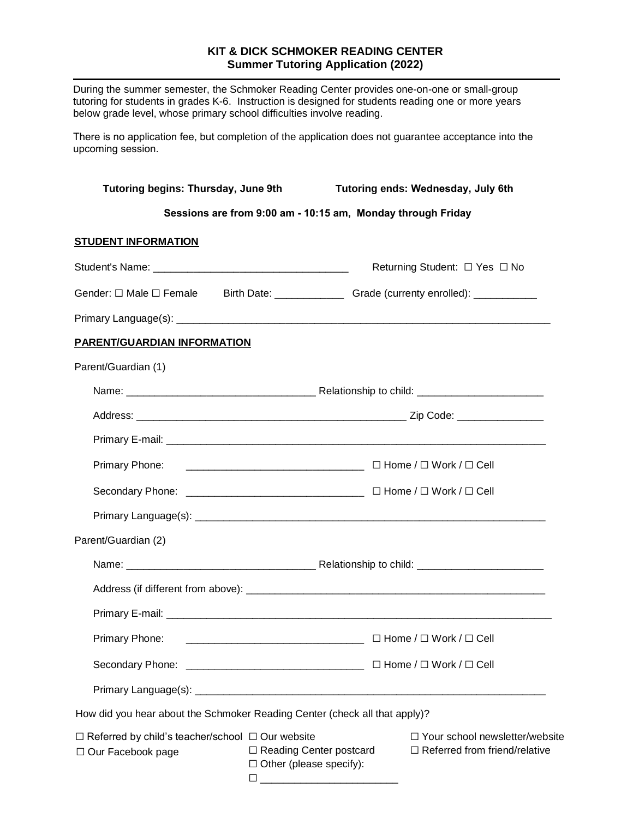## **KIT & DICK SCHMOKER READING CENTER Summer Tutoring Application (2022)**

During the summer semester, the Schmoker Reading Center provides one-on-one or small-group tutoring for students in grades K-6. Instruction is designed for students reading one or more years below grade level, whose primary school difficulties involve reading.

There is no application fee, but completion of the application does not guarantee acceptance into the upcoming session.

| Tutoring begins: Thursday, June 9th                                                 |                                                                                                                                                                                                                                                                                                               | Tutoring ends: Wednesday, July 6th                                       |
|-------------------------------------------------------------------------------------|---------------------------------------------------------------------------------------------------------------------------------------------------------------------------------------------------------------------------------------------------------------------------------------------------------------|--------------------------------------------------------------------------|
| Sessions are from 9:00 am - 10:15 am, Monday through Friday                         |                                                                                                                                                                                                                                                                                                               |                                                                          |
| <b>STUDENT INFORMATION</b>                                                          |                                                                                                                                                                                                                                                                                                               |                                                                          |
|                                                                                     |                                                                                                                                                                                                                                                                                                               | Returning Student: □ Yes □ No                                            |
|                                                                                     |                                                                                                                                                                                                                                                                                                               |                                                                          |
|                                                                                     |                                                                                                                                                                                                                                                                                                               |                                                                          |
| <b>PARENT/GUARDIAN INFORMATION</b>                                                  |                                                                                                                                                                                                                                                                                                               |                                                                          |
| Parent/Guardian (1)                                                                 |                                                                                                                                                                                                                                                                                                               |                                                                          |
|                                                                                     |                                                                                                                                                                                                                                                                                                               |                                                                          |
|                                                                                     |                                                                                                                                                                                                                                                                                                               |                                                                          |
|                                                                                     |                                                                                                                                                                                                                                                                                                               |                                                                          |
|                                                                                     |                                                                                                                                                                                                                                                                                                               |                                                                          |
|                                                                                     |                                                                                                                                                                                                                                                                                                               |                                                                          |
|                                                                                     |                                                                                                                                                                                                                                                                                                               |                                                                          |
| Parent/Guardian (2)                                                                 |                                                                                                                                                                                                                                                                                                               |                                                                          |
|                                                                                     |                                                                                                                                                                                                                                                                                                               |                                                                          |
|                                                                                     |                                                                                                                                                                                                                                                                                                               |                                                                          |
|                                                                                     |                                                                                                                                                                                                                                                                                                               |                                                                          |
| Primary Phone:                                                                      |                                                                                                                                                                                                                                                                                                               |                                                                          |
|                                                                                     |                                                                                                                                                                                                                                                                                                               |                                                                          |
|                                                                                     |                                                                                                                                                                                                                                                                                                               |                                                                          |
| How did you hear about the Schmoker Reading Center (check all that apply)?          |                                                                                                                                                                                                                                                                                                               |                                                                          |
| $\Box$ Referred by child's teacher/school $\Box$ Our website<br>□ Our Facebook page | $\Box$ Reading Center postcard<br>$\Box$ Other (please specify):<br>□<br><u> 2000 - 2000 - 2000 - 2000 - 2000 - 2000 - 2000 - 2000 - 2000 - 2000 - 2000 - 2000 - 2000 - 2000 - 2000 - 2000 - 2000 - 2000 - 2000 - 2000 - 2000 - 2000 - 2000 - 2000 - 2000 - 2000 - 2000 - 2000 - 2000 - 2000 - 2000 - 200</u> | □ Your school newsletter/website<br>$\Box$ Referred from friend/relative |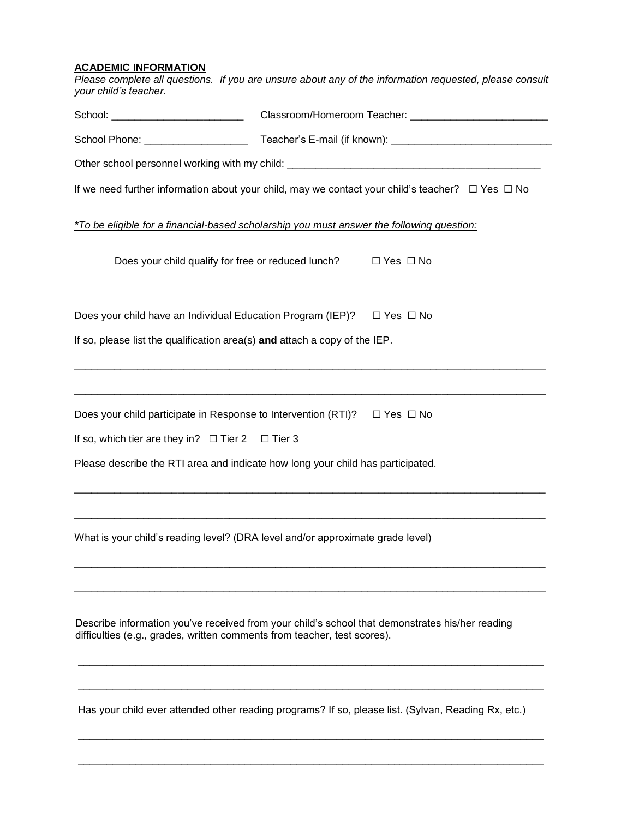## **ACADEMIC INFORMATION**

*Please complete all questions. If you are unsure about any of the information requested, please consult your child's teacher.*

| School: ___________________________                                        |                                                                                                            |  |
|----------------------------------------------------------------------------|------------------------------------------------------------------------------------------------------------|--|
|                                                                            |                                                                                                            |  |
|                                                                            | Other school personnel working with my child: ___________________________________                          |  |
|                                                                            | If we need further information about your child, may we contact your child's teacher? $\Box$ Yes $\Box$ No |  |
|                                                                            | *To be eligible for a financial-based scholarship you must answer the following question:                  |  |
|                                                                            | Does your child qualify for free or reduced lunch? $\square$ Yes $\square$ No                              |  |
|                                                                            | Does your child have an Individual Education Program (IEP)? $\square$ Yes $\square$ No                     |  |
| If so, please list the qualification area(s) and attach a copy of the IEP. |                                                                                                            |  |
|                                                                            |                                                                                                            |  |
|                                                                            | Does your child participate in Response to Intervention (RTI)? $\Box$ Yes $\Box$ No                        |  |
| If so, which tier are they in? $\Box$ Tier 2 $\Box$ Tier 3                 |                                                                                                            |  |
|                                                                            | Please describe the RTI area and indicate how long your child has participated.                            |  |
|                                                                            | What is your child's reading level? (DRA level and/or approximate grade level)                             |  |
| difficulties (e.g., grades, written comments from teacher, test scores).   | Describe information you've received from your child's school that demonstrates his/her reading            |  |
|                                                                            |                                                                                                            |  |

Has your child ever attended other reading programs? If so, please list. (Sylvan, Reading Rx, etc.)

\_\_\_\_\_\_\_\_\_\_\_\_\_\_\_\_\_\_\_\_\_\_\_\_\_\_\_\_\_\_\_\_\_\_\_\_\_\_\_\_\_\_\_\_\_\_\_\_\_\_\_\_\_\_\_\_\_\_\_\_\_\_\_\_\_\_\_\_\_\_\_\_\_\_\_\_\_\_\_\_\_

\_\_\_\_\_\_\_\_\_\_\_\_\_\_\_\_\_\_\_\_\_\_\_\_\_\_\_\_\_\_\_\_\_\_\_\_\_\_\_\_\_\_\_\_\_\_\_\_\_\_\_\_\_\_\_\_\_\_\_\_\_\_\_\_\_\_\_\_\_\_\_\_\_\_\_\_\_\_\_\_\_